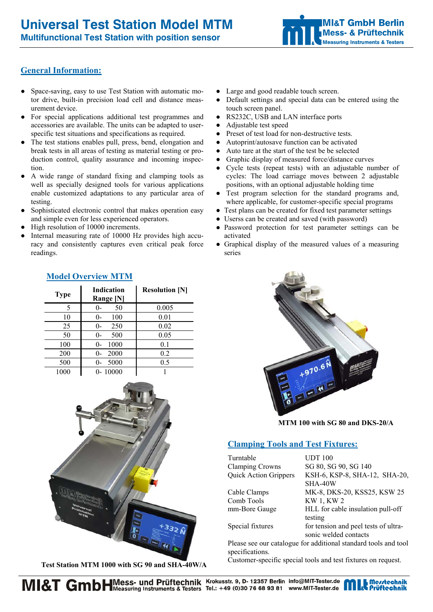**Multifunctional Test Station with position sensor** 



# **General Information:**

- Space-saving, easy to use Test Station with automatic motor drive, built-in precision load cell and distance measurement device.
- For special applications additional test programmes and accessories are available. The units can be adapted to userspecific test situations and specifications as required.
- The test stations enables pull, press, bend, elongation and break tests in all areas of testing as material testing or production control, quality assurance and incoming inspection.
- A wide range of standard fixing and clamping tools as well as specially designed tools for various applications enable customized adaptations to any particular area of testing.
- Sophisticated electronic control that makes operation easy and simple even for less experienced operators.
- High resolution of 10000 increments.
- Internal measuring rate of 10000 Hz provides high accuracy and consistently captures even critical peak force readings.
- **Type Indication Range [N] Resolution [N]**  5 0- 50 0.005 10 0- 100 0.01 25 0- 250 0.02 50 0- 500 0.05 100 0- 1000 0.1 200 0- 2000 0.2 500 0- 5000 0.5 1000 0- 10000 1



 **Test Station MTM 1000 with SG 90 and SHA-40W/A** 

- Large and good readable touch screen.
- Default settings and special data can be entered using the touch screen panel.
- RS232C, USB and LAN interface ports
- Adjustable test speed
- Preset of test load for non-destructive tests.
- Autoprint/autosave function can be activated
- Auto tare at the start of the test be be selected
- Graphic display of measured force/distance curves
- Cycle tests (repeat tests) with an adjustable number of cycles: The load carriage moves between 2 adjustable positions, with an optional adjustable holding time
- Test program selection for the standard programs and, where applicable, for customer-specific special programs
- Test plans can be created for fixed test parameter settings
- Userss can be created and saved (with password)
- Password protection for test parameter settings can be activated
- Graphical display of the measured values of a measuring series



**MTM 100 with SG 80 and DKS-20/A** 

### **Clamping Tools and Test Fixtures:**

| Turntable              | <b>UDT</b> 100                |
|------------------------|-------------------------------|
| <b>Clamping Crowns</b> | SG 80, SG 90, SG 140          |
| Quick Action Grippers  | KSH-6, KSP-8, SHA-12, SHA-20, |
|                        | SHA-40W                       |
| Cable Clamps           | MK-8, DKS-20, KSS25, KSW 25   |
| Comb Tools             | KW 1, KW 2                    |

mm-Bore Gauge HLL for cable insulation pull-off testing Special fixtures for tension and peel tests of ultra-

 sonic welded contacts Please see our catalogue for additional standard tools and tool specifications.

Customer-specific special tools and test fixtures on request.

# **Model Overview MTM**